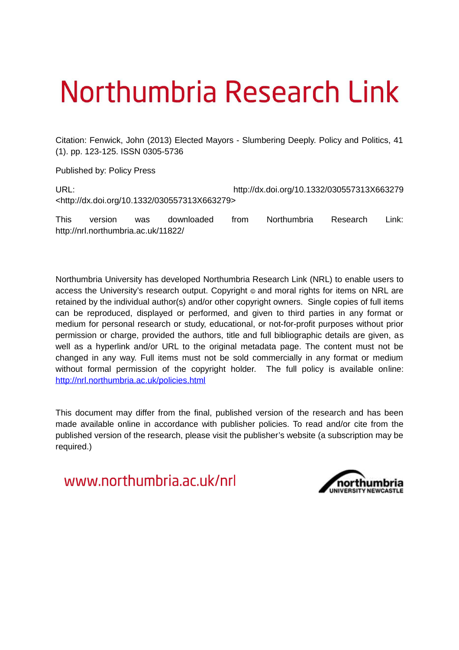# Northumbria Research Link

Citation: Fenwick, John (2013) Elected Mayors - Slumbering Deeply. Policy and Politics, 41 (1). pp. 123-125. ISSN 0305-5736

Published by: Policy Press

URL: http://dx.doi.org/10.1332/030557313X663279 <http://dx.doi.org/10.1332/030557313X663279>

This version was downloaded from Northumbria Research Link: http://nrl.northumbria.ac.uk/11822/

Northumbria University has developed Northumbria Research Link (NRL) to enable users to access the University's research output. Copyright  $\circ$  and moral rights for items on NRL are retained by the individual author(s) and/or other copyright owners. Single copies of full items can be reproduced, displayed or performed, and given to third parties in any format or medium for personal research or study, educational, or not-for-profit purposes without prior permission or charge, provided the authors, title and full bibliographic details are given, as well as a hyperlink and/or URL to the original metadata page. The content must not be changed in any way. Full items must not be sold commercially in any format or medium without formal permission of the copyright holder. The full policy is available online: <http://nrl.northumbria.ac.uk/policies.html>

This document may differ from the final, published version of the research and has been made available online in accordance with publisher policies. To read and/or cite from the published version of the research, please visit the publisher's website (a subscription may be required.)

www.northumbria.ac.uk/nrl

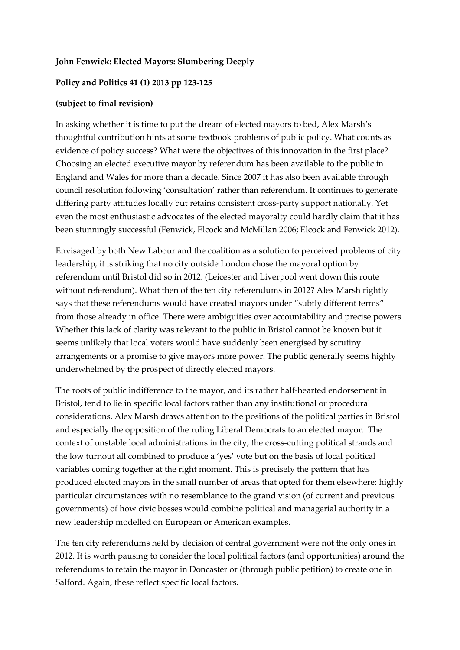### **John Fenwick: Elected Mayors: Slumbering Deeply**

#### **Policy and Politics 41 (1) 2013 pp 123-125**

#### **(subject to final revision)**

In asking whether it is time to put the dream of elected mayors to bed, Alex Marsh's thoughtful contribution hints at some textbook problems of public policy. What counts as evidence of policy success? What were the objectives of this innovation in the first place? Choosing an elected executive mayor by referendum has been available to the public in England and Wales for more than a decade. Since 2007 it has also been available through council resolution following 'consultation' rather than referendum. It continues to generate differing party attitudes locally but retains consistent cross-party support nationally. Yet even the most enthusiastic advocates of the elected mayoralty could hardly claim that it has been stunningly successful (Fenwick, Elcock and McMillan 2006; Elcock and Fenwick 2012).

Envisaged by both New Labour and the coalition as a solution to perceived problems of city leadership, it is striking that no city outside London chose the mayoral option by referendum until Bristol did so in 2012. (Leicester and Liverpool went down this route without referendum). What then of the ten city referendums in 2012? Alex Marsh rightly says that these referendums would have created mayors under "subtly different terms" from those already in office. There were ambiguities over accountability and precise powers. Whether this lack of clarity was relevant to the public in Bristol cannot be known but it seems unlikely that local voters would have suddenly been energised by scrutiny arrangements or a promise to give mayors more power. The public generally seems highly underwhelmed by the prospect of directly elected mayors.

The roots of public indifference to the mayor, and its rather half-hearted endorsement in Bristol, tend to lie in specific local factors rather than any institutional or procedural considerations. Alex Marsh draws attention to the positions of the political parties in Bristol and especially the opposition of the ruling Liberal Democrats to an elected mayor. The context of unstable local administrations in the city, the cross-cutting political strands and the low turnout all combined to produce a 'yes' vote but on the basis of local political variables coming together at the right moment. This is precisely the pattern that has produced elected mayors in the small number of areas that opted for them elsewhere: highly particular circumstances with no resemblance to the grand vision (of current and previous governments) of how civic bosses would combine political and managerial authority in a new leadership modelled on European or American examples.

The ten city referendums held by decision of central government were not the only ones in 2012. It is worth pausing to consider the local political factors (and opportunities) around the referendums to retain the mayor in Doncaster or (through public petition) to create one in Salford. Again, these reflect specific local factors.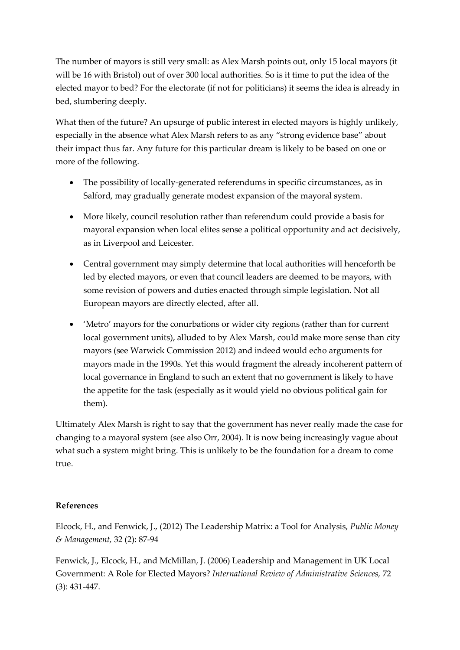The number of mayors is still very small: as Alex Marsh points out, only 15 local mayors (it will be 16 with Bristol) out of over 300 local authorities. So is it time to put the idea of the elected mayor to bed? For the electorate (if not for politicians) it seems the idea is already in bed, slumbering deeply.

What then of the future? An upsurge of public interest in elected mayors is highly unlikely, especially in the absence what Alex Marsh refers to as any "strong evidence base" about their impact thus far. Any future for this particular dream is likely to be based on one or more of the following.

- The possibility of locally-generated referendums in specific circumstances, as in Salford, may gradually generate modest expansion of the mayoral system.
- More likely, council resolution rather than referendum could provide a basis for mayoral expansion when local elites sense a political opportunity and act decisively, as in Liverpool and Leicester.
- Central government may simply determine that local authorities will henceforth be led by elected mayors, or even that council leaders are deemed to be mayors, with some revision of powers and duties enacted through simple legislation. Not all European mayors are directly elected, after all.
- 'Metro' mayors for the conurbations or wider city regions (rather than for current local government units), alluded to by Alex Marsh, could make more sense than city mayors (see Warwick Commission 2012) and indeed would echo arguments for mayors made in the 1990s. Yet this would fragment the already incoherent pattern of local governance in England to such an extent that no government is likely to have the appetite for the task (especially as it would yield no obvious political gain for them).

Ultimately Alex Marsh is right to say that the government has never really made the case for changing to a mayoral system (see also Orr, 2004). It is now being increasingly vague about what such a system might bring. This is unlikely to be the foundation for a dream to come true.

## **References**

Elcock, H., and Fenwick, J., (2012) The Leadership Matrix: a Tool for Analysis, *Public Money & Management,* 32 (2): 87-94

Fenwick, J., Elcock, H., and McMillan, J. (2006) Leadership and Management in UK Local Government: A Role for Elected Mayors? *International Review of Administrative Sciences,* 72 (3): 431-447.